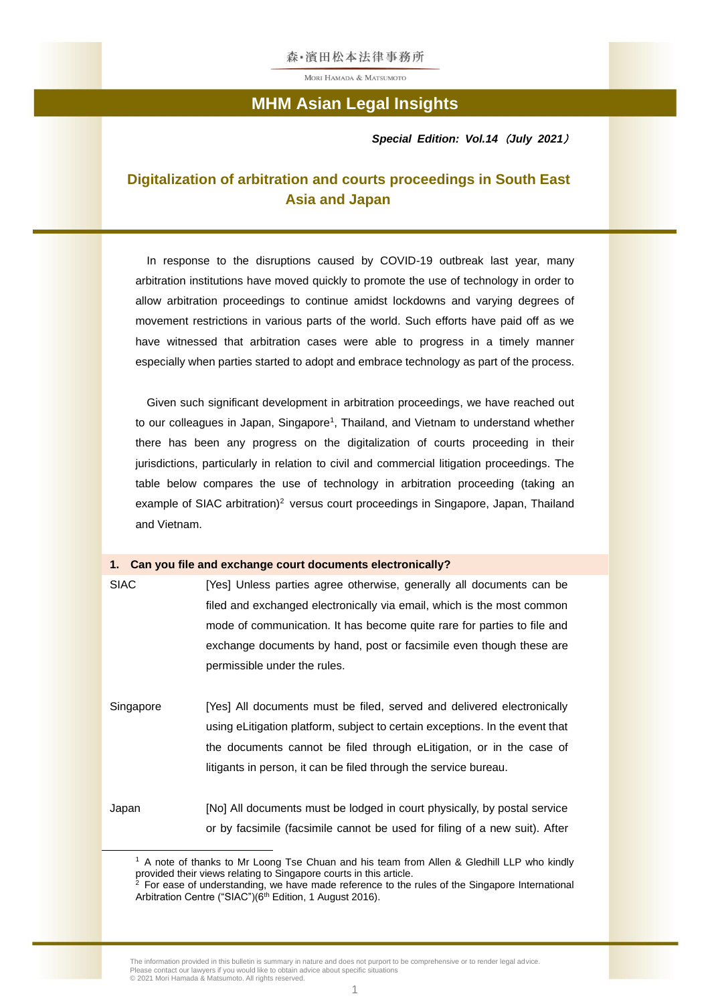## **MHM Asian Legal Insights**

*Special Edition: Vol.14*(*July 2021*)

## **Digitalization of arbitration and courts proceedings in South East Asia and Japan**

In response to the disruptions caused by COVID-19 outbreak last year, many arbitration institutions have moved quickly to promote the use of technology in order to allow arbitration proceedings to continue amidst lockdowns and varying degrees of movement restrictions in various parts of the world. Such efforts have paid off as we have witnessed that arbitration cases were able to progress in a timely manner especially when parties started to adopt and embrace technology as part of the process.

Given such significant development in arbitration proceedings, we have reached out to our colleagues in Japan, Singapore<sup>1</sup>, Thailand, and Vietnam to understand whether there has been any progress on the digitalization of courts proceeding in their jurisdictions, particularly in relation to civil and commercial litigation proceedings. The table below compares the use of technology in arbitration proceeding (taking an example of SIAC arbitration)<sup>2</sup> versus court proceedings in Singapore, Japan, Thailand and Vietnam.

#### **1. Can you file and exchange court documents electronically?**

SIAC [Yes] Unless parties agree otherwise, generally all documents can be filed and exchanged electronically via email, which is the most common mode of communication. It has become quite rare for parties to file and exchange documents by hand, post or facsimile even though these are permissible under the rules.

Singapore [Yes] All documents must be filed, served and delivered electronically using eLitigation platform, subject to certain exceptions. In the event that the documents cannot be filed through eLitigation, or in the case of litigants in person, it can be filed through the service bureau.

Japan [No] All documents must be lodged in court physically, by postal service or by facsimile (facsimile cannot be used for filing of a new suit). After

<sup>1</sup> A note of thanks to Mr Loong Tse Chuan and his team from Allen & Gledhill LLP who kindly provided their views relating to Singapore courts in this article.

 $2$  For ease of understanding, we have made reference to the rules of the Singapore International Arbitration Centre ("SIAC")(6<sup>th</sup> Edition, 1 August 2016).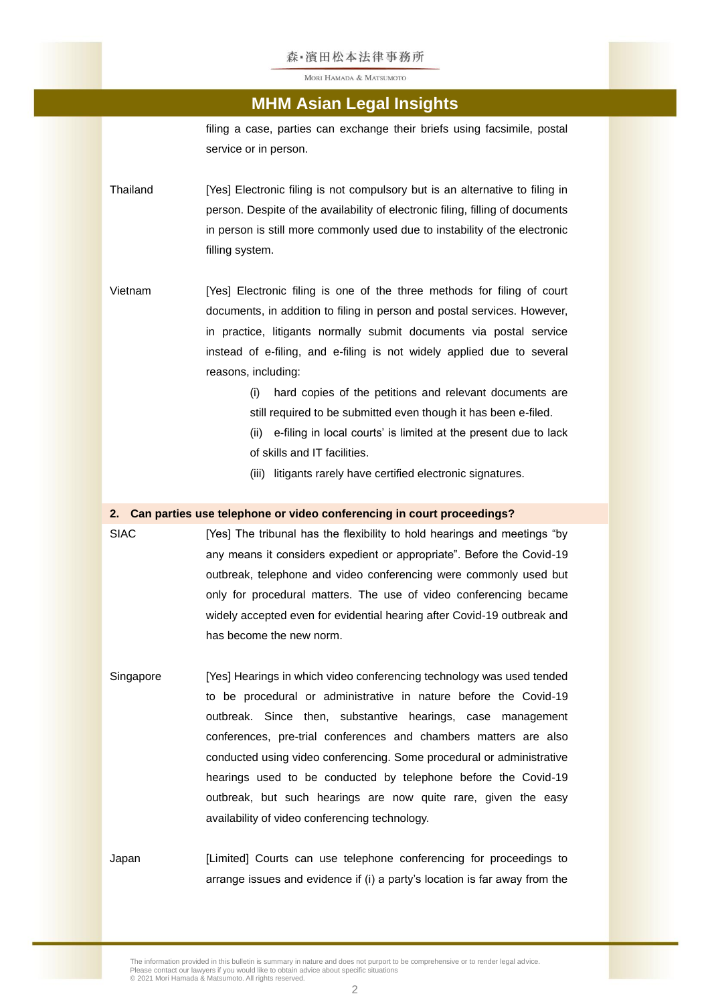### **MHM Asian Legal Insights**

filing a case, parties can exchange their briefs using facsimile, postal service or in person.

- Thailand [Yes] Electronic filing is not compulsory but is an alternative to filing in person. Despite of the availability of electronic filing, filling of documents in person is still more commonly used due to instability of the electronic filling system.
- Vietnam [Yes] Electronic filing is one of the three methods for filing of court documents, in addition to filing in person and postal services. However, in practice, litigants normally submit documents via postal service instead of e-filing, and e-filing is not widely applied due to several reasons, including:
	- (i) hard copies of the petitions and relevant documents are still required to be submitted even though it has been e-filed.
	- (ii) e-filing in local courts' is limited at the present due to lack of skills and IT facilities.
	- (iii) litigants rarely have certified electronic signatures.

### **2. Can parties use telephone or video conferencing in court proceedings?**

- SIAC [Yes] The tribunal has the flexibility to hold hearings and meetings "by any means it considers expedient or appropriate". Before the Covid-19 outbreak, telephone and video conferencing were commonly used but only for procedural matters. The use of video conferencing became widely accepted even for evidential hearing after Covid-19 outbreak and has become the new norm.
- Singapore [Yes] Hearings in which video conferencing technology was used tended to be procedural or administrative in nature before the Covid-19 outbreak. Since then, substantive hearings, case management conferences, pre-trial conferences and chambers matters are also conducted using video conferencing. Some procedural or administrative hearings used to be conducted by telephone before the Covid-19 outbreak, but such hearings are now quite rare, given the easy availability of video conferencing technology.
- Japan [Limited] Courts can use telephone conferencing for proceedings to arrange issues and evidence if (i) a party's location is far away from the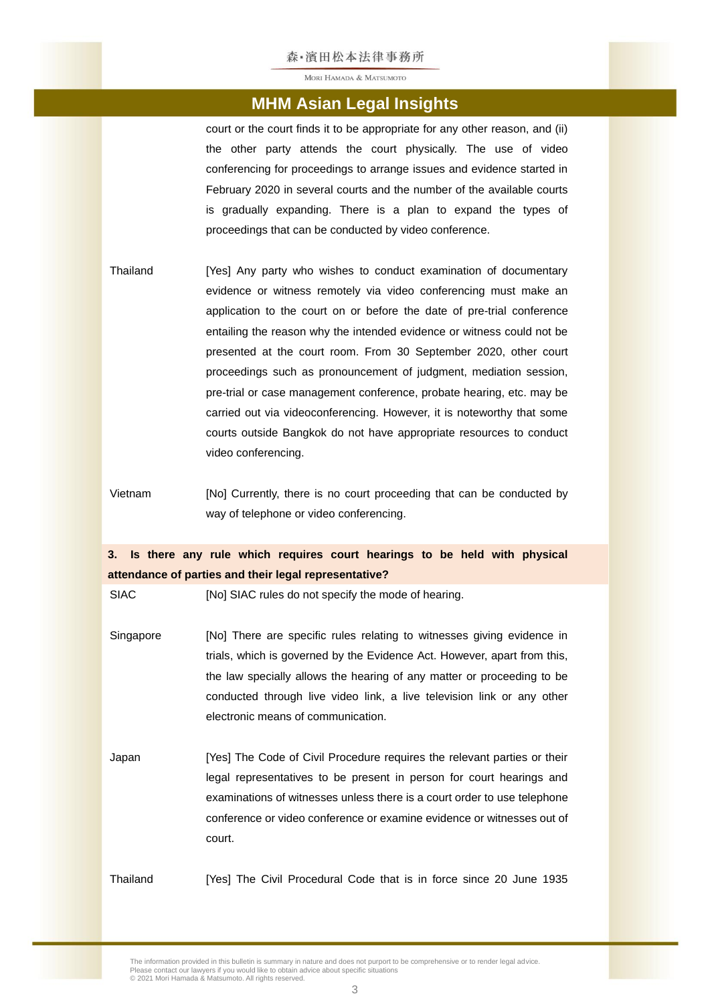### **MHM Asian Legal Insights**

court or the court finds it to be appropriate for any other reason, and (ii) the other party attends the court physically. The use of video conferencing for proceedings to arrange issues and evidence started in February 2020 in several courts and the number of the available courts is gradually expanding. There is a plan to expand the types of proceedings that can be conducted by video conference.

- Thailand [Yes] Any party who wishes to conduct examination of documentary evidence or witness remotely via video conferencing must make an application to the court on or before the date of pre-trial conference entailing the reason why the intended evidence or witness could not be presented at the court room. From 30 September 2020, other court proceedings such as pronouncement of judgment, mediation session, pre-trial or case management conference, probate hearing, etc. may be carried out via videoconferencing. However, it is noteworthy that some courts outside Bangkok do not have appropriate resources to conduct video conferencing.
- Vietnam [No] Currently, there is no court proceeding that can be conducted by way of telephone or video conferencing.

### **3. Is there any rule which requires court hearings to be held with physical attendance of parties and their legal representative?**

SIAC [No] SIAC rules do not specify the mode of hearing.

- Singapore [No] There are specific rules relating to witnesses giving evidence in trials, which is governed by the Evidence Act. However, apart from this, the law specially allows the hearing of any matter or proceeding to be conducted through live video link, a live television link or any other electronic means of communication.
- Japan [Yes] The Code of Civil Procedure requires the relevant parties or their legal representatives to be present in person for court hearings and examinations of witnesses unless there is a court order to use telephone conference or video conference or examine evidence or witnesses out of court.

Thailand [Yes] The Civil Procedural Code that is in force since 20 June 1935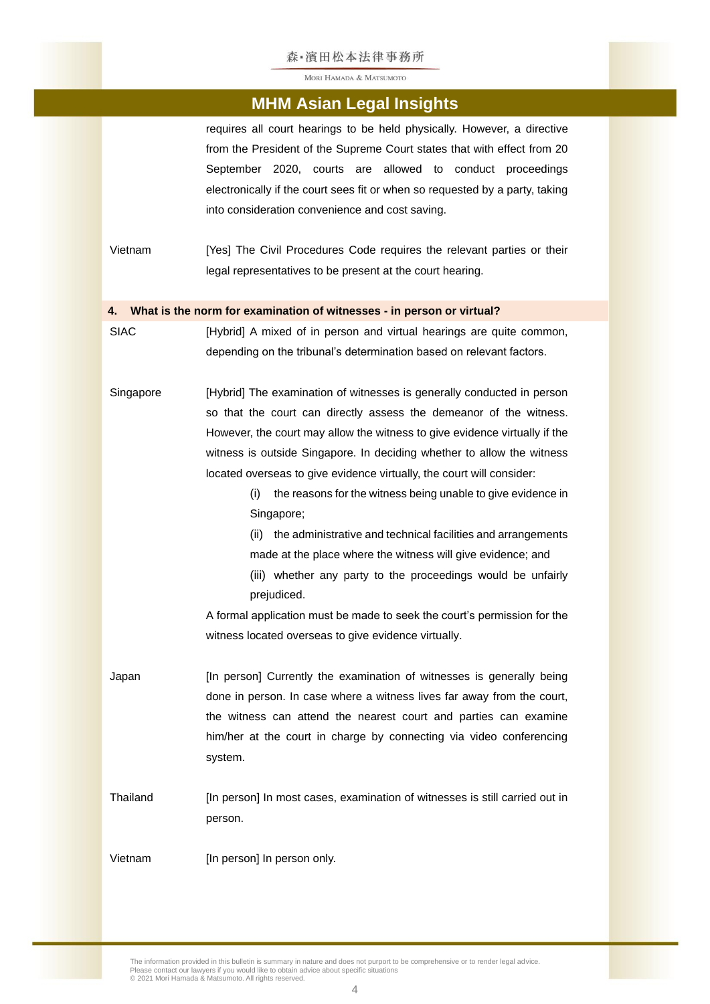#### 森·濱田松本法律事務所

MORI HAMADA & MATSUMOTO

### **MHM Asian Legal Insights**

requires all court hearings to be held physically. However, a directive from the President of the Supreme Court states that with effect from 20 September 2020, courts are allowed to conduct proceedings electronically if the court sees fit or when so requested by a party, taking into consideration convenience and cost saving.

Vietnam [Yes] The Civil Procedures Code requires the relevant parties or their legal representatives to be present at the court hearing.

#### **4. What is the norm for examination of witnesses - in person or virtual?**

SIAC [Hybrid] A mixed of in person and virtual hearings are quite common, depending on the tribunal's determination based on relevant factors.

Singapore [Hybrid] The examination of witnesses is generally conducted in person so that the court can directly assess the demeanor of the witness. However, the court may allow the witness to give evidence virtually if the witness is outside Singapore. In deciding whether to allow the witness located overseas to give evidence virtually, the court will consider:

> (i) the reasons for the witness being unable to give evidence in Singapore;

> (ii) the administrative and technical facilities and arrangements made at the place where the witness will give evidence; and

> (iii) whether any party to the proceedings would be unfairly prejudiced.

A formal application must be made to seek the court's permission for the witness located overseas to give evidence virtually.

- Japan [In person] Currently the examination of witnesses is generally being done in person. In case where a witness lives far away from the court, the witness can attend the nearest court and parties can examine him/her at the court in charge by connecting via video conferencing system.
- Thailand [In person] In most cases, examination of witnesses is still carried out in person.

Vietnam [In person] In person only.

The information provided in this bulletin is summary in nature and does not purport to be comprehensive or to render legal advice. Please contact our lawyers if you would like to obtain advice about specific situations © 2021 Mori Hamada & Matsumoto. All rights reserved.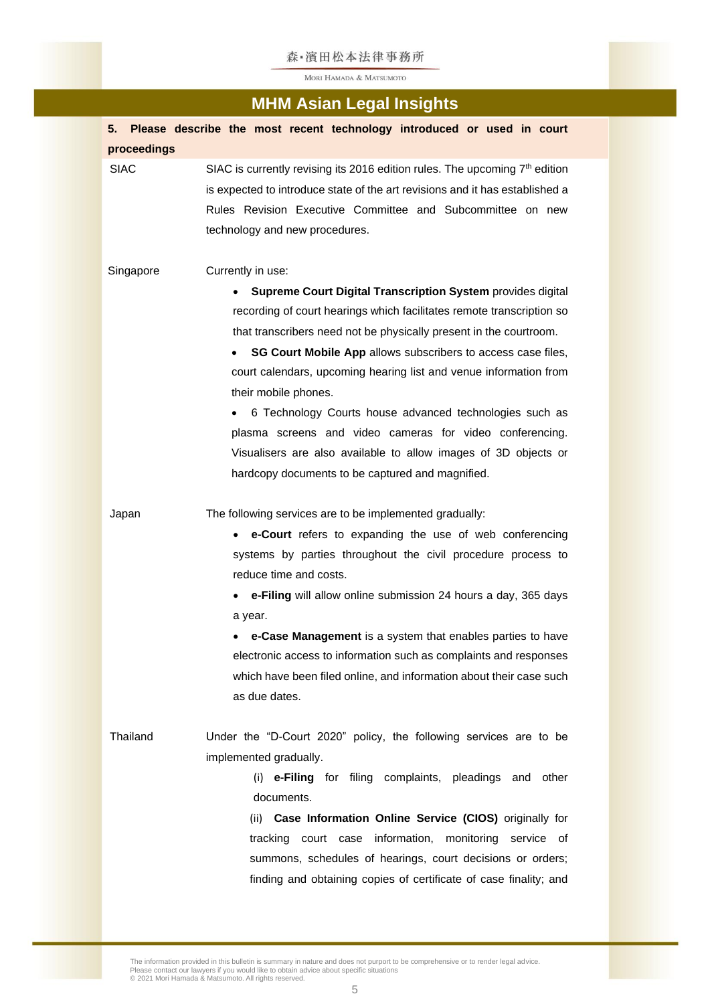### 森·濱田松本法律事務所

MORI HAMADA & MATSUMOTO

# **MHM Asian Legal Insights**

| 5.          | Please describe the most recent technology introduced or used in court                                                                                                                                                                                                                                                                                                                                                                                                                                                                                                                                                                     |
|-------------|--------------------------------------------------------------------------------------------------------------------------------------------------------------------------------------------------------------------------------------------------------------------------------------------------------------------------------------------------------------------------------------------------------------------------------------------------------------------------------------------------------------------------------------------------------------------------------------------------------------------------------------------|
| proceedings |                                                                                                                                                                                                                                                                                                                                                                                                                                                                                                                                                                                                                                            |
| <b>SIAC</b> | SIAC is currently revising its 2016 edition rules. The upcoming 7 <sup>th</sup> edition<br>is expected to introduce state of the art revisions and it has established a<br>Rules Revision Executive Committee and Subcommittee on new<br>technology and new procedures.                                                                                                                                                                                                                                                                                                                                                                    |
| Singapore   | Currently in use:<br>Supreme Court Digital Transcription System provides digital<br>recording of court hearings which facilitates remote transcription so<br>that transcribers need not be physically present in the courtroom.<br>SG Court Mobile App allows subscribers to access case files,<br>court calendars, upcoming hearing list and venue information from<br>their mobile phones.<br>6 Technology Courts house advanced technologies such as<br>plasma screens and video cameras for video conferencing.<br>Visualisers are also available to allow images of 3D objects or<br>hardcopy documents to be captured and magnified. |
| Japan       | The following services are to be implemented gradually:<br>e-Court refers to expanding the use of web conferencing<br>systems by parties throughout the civil procedure process to<br>reduce time and costs.<br>e-Filing will allow online submission 24 hours a day, 365 days<br>a year.<br>e-Case Management is a system that enables parties to have<br>electronic access to information such as complaints and responses<br>which have been filed online, and information about their case such<br>as due dates.                                                                                                                       |
| Thailand    | Under the "D-Court 2020" policy, the following services are to be<br>implemented gradually.<br>(i) e-Filing for filing complaints, pleadings and other<br>documents.<br>(ii) Case Information Online Service (CIOS) originally for<br>tracking court case information, monitoring service of<br>summons, schedules of hearings, court decisions or orders;<br>finding and obtaining copies of certificate of case finality; and                                                                                                                                                                                                            |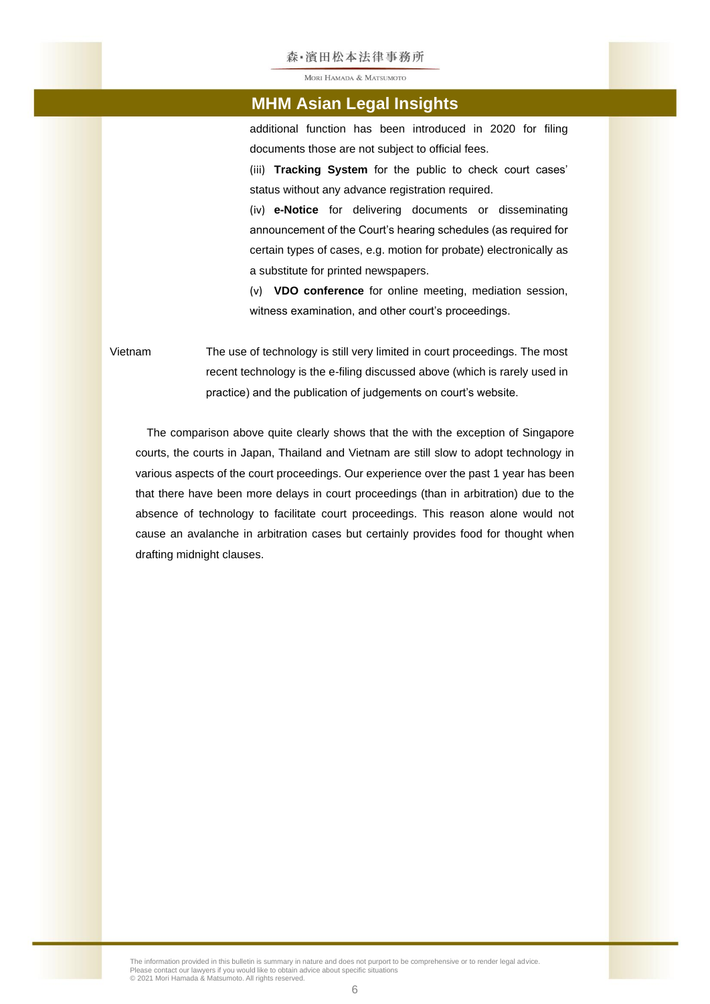#### 森·濱田松本法律事務所

MORI HAMADA & MATSUMOTO

### **MHM Asian Legal Insights**

additional function has been introduced in 2020 for filing documents those are not subject to official fees.

(iii) **Tracking System** for the public to check court cases' status without any advance registration required.

(iv) **e-Notice** for delivering documents or disseminating announcement of the Court's hearing schedules (as required for certain types of cases, e.g. motion for probate) electronically as a substitute for printed newspapers.

(v) **VDO conference** for online meeting, mediation session, witness examination, and other court's proceedings.

Vietnam The use of technology is still very limited in court proceedings. The most recent technology is the e-filing discussed above (which is rarely used in practice) and the publication of judgements on court's website.

The comparison above quite clearly shows that the with the exception of Singapore courts, the courts in Japan, Thailand and Vietnam are still slow to adopt technology in various aspects of the court proceedings. Our experience over the past 1 year has been that there have been more delays in court proceedings (than in arbitration) due to the absence of technology to facilitate court proceedings. This reason alone would not cause an avalanche in arbitration cases but certainly provides food for thought when drafting midnight clauses.